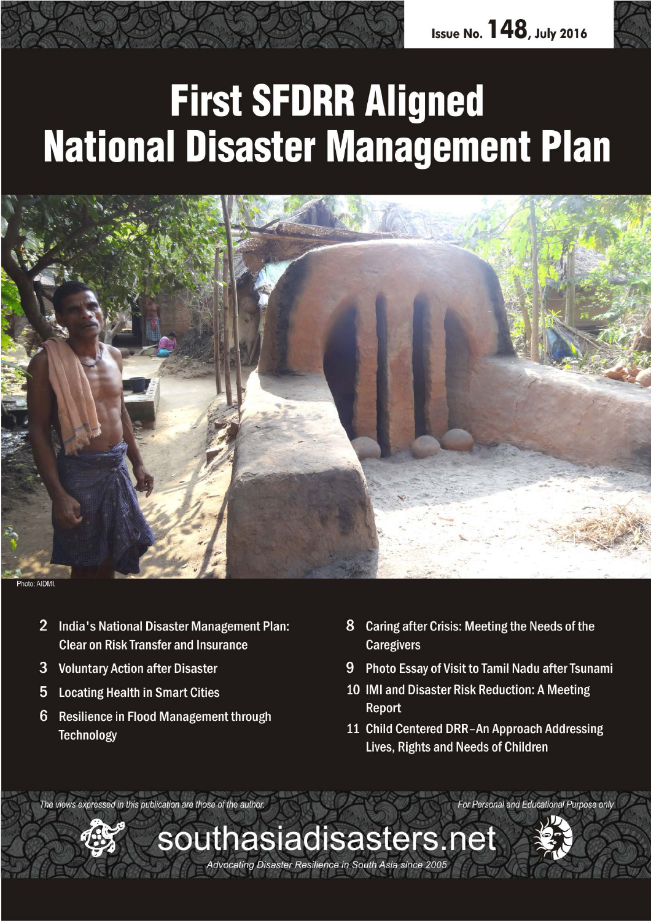

# **First SFDRR Aligned National Disaster Management Plan**



- $2<sup>1</sup>$ India's National Disaster Management Plan: **Clear on Risk Transfer and Insurance**
- 3 Voluntary Action after Disaster
- 5 **Locating Health in Smart Cities**
- $6\phantom{1}6$ Resilience in Flood Management through **Technology**
- Caring after Crisis: Meeting the Needs of the 8 **Caregivers**
- Photo Essay of Visit to Tamil Nadu after Tsunami 9
- 10 IMI and Disaster Risk Reduction: A Meeting **Report**
- 11 Child Centered DRR-An Approach Addressing Lives, Rights and Needs of Children

For Personal and Educational Purpose only

The views expressed in this publication are those of the author.



Advocating Disaster Resilience in South Asia since 2005

southasiadisasters.net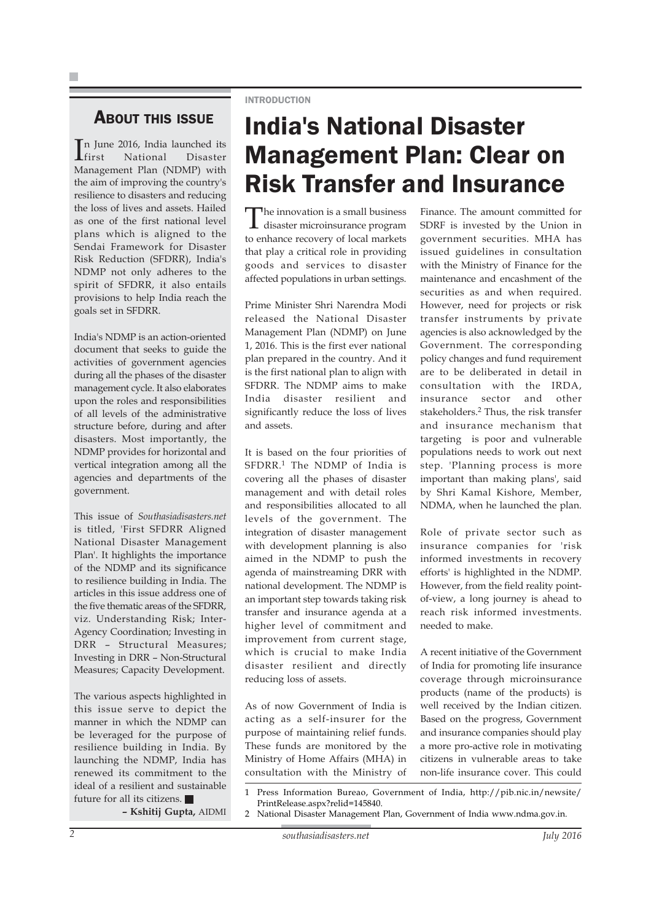### ABOUT THIS ISSUE

In June 2016, India launched its<br>
first Mational Disaster first National Disaster Management Plan (NDMP) with the aim of improving the country's resilience to disasters and reducing the loss of lives and assets. Hailed as one of the first national level plans which is aligned to the Sendai Framework for Disaster Risk Reduction (SFDRR), India's NDMP not only adheres to the spirit of SFDRR, it also entails provisions to help India reach the goals set in SFDRR.

India's NDMP is an action-oriented document that seeks to guide the activities of government agencies during all the phases of the disaster management cycle. It also elaborates upon the roles and responsibilities of all levels of the administrative structure before, during and after disasters. Most importantly, the NDMP provides for horizontal and vertical integration among all the agencies and departments of the government.

This issue of *Southasiadisasters.net* is titled, 'First SFDRR Aligned National Disaster Management Plan'. It highlights the importance of the NDMP and its significance to resilience building in India. The articles in this issue address one of the five thematic areas of the SFDRR, viz. Understanding Risk; Inter-Agency Coordination; Investing in DRR – Structural Measures; Investing in DRR – Non-Structural Measures; Capacity Development.

The various aspects highlighted in this issue serve to depict the manner in which the NDMP can be leveraged for the purpose of resilience building in India. By launching the NDMP, India has renewed its commitment to the ideal of a resilient and sustainable future for all its citizens.

**– Kshitij Gupta,** AIDMI

### INTRODUCTION

### India's National Disaster Management Plan: Clear on Risk Transfer and Insurance

The innovation is a small business disaster microinsurance program to enhance recovery of local markets that play a critical role in providing goods and services to disaster affected populations in urban settings.

Prime Minister Shri Narendra Modi released the National Disaster Management Plan (NDMP) on June 1, 2016. This is the first ever national plan prepared in the country. And it is the first national plan to align with SFDRR. The NDMP aims to make India disaster resilient and significantly reduce the loss of lives and assets.

It is based on the four priorities of SFDRR.1 The NDMP of India is covering all the phases of disaster management and with detail roles and responsibilities allocated to all levels of the government. The integration of disaster management with development planning is also aimed in the NDMP to push the agenda of mainstreaming DRR with national development. The NDMP is an important step towards taking risk transfer and insurance agenda at a higher level of commitment and improvement from current stage, which is crucial to make India disaster resilient and directly reducing loss of assets.

As of now Government of India is acting as a self-insurer for the purpose of maintaining relief funds. These funds are monitored by the Ministry of Home Affairs (MHA) in consultation with the Ministry of Finance. The amount committed for SDRF is invested by the Union in government securities. MHA has issued guidelines in consultation with the Ministry of Finance for the maintenance and encashment of the securities as and when required. However, need for projects or risk transfer instruments by private agencies is also acknowledged by the Government. The corresponding policy changes and fund requirement are to be deliberated in detail in consultation with the IRDA, insurance sector and other stakeholders.2 Thus, the risk transfer and insurance mechanism that targeting is poor and vulnerable populations needs to work out next step. 'Planning process is more important than making plans', said by Shri Kamal Kishore, Member, NDMA, when he launched the plan.

Role of private sector such as insurance companies for 'risk informed investments in recovery efforts' is highlighted in the NDMP. However, from the field reality pointof-view, a long journey is ahead to reach risk informed investments. needed to make.

A recent initiative of the Government of India for promoting life insurance coverage through microinsurance products (name of the products) is well received by the Indian citizen. Based on the progress, Government and insurance companies should play a more pro-active role in motivating citizens in vulnerable areas to take non-life insurance cover. This could

Press Information Bureao, Government of India, http://pib.nic.in/newsite/ PrintRelease.aspx?relid=145840.

2 National Disaster Management Plan, Government of India www.ndma.gov.in.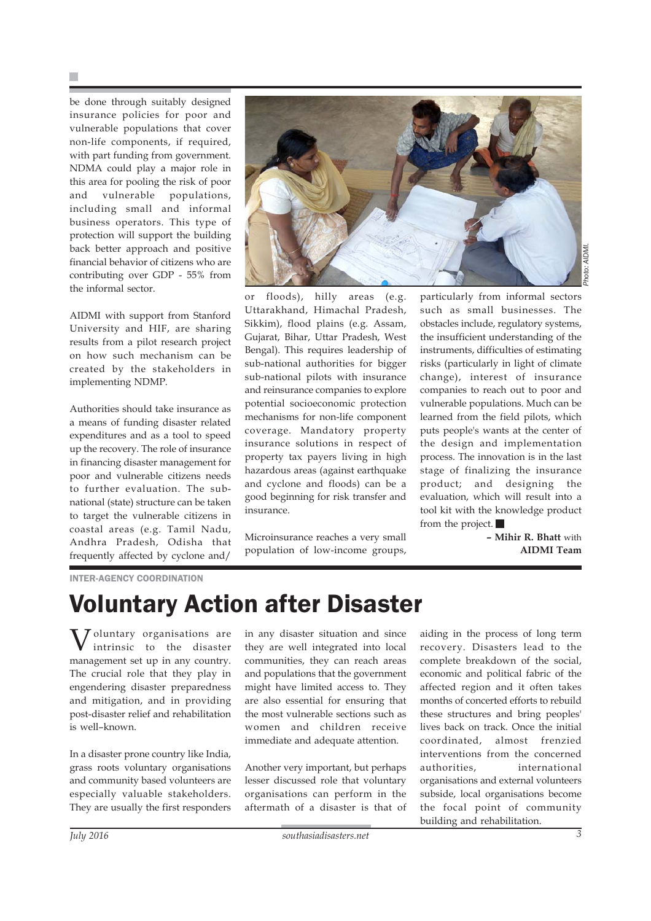be done through suitably designed insurance policies for poor and vulnerable populations that cover non-life components, if required, with part funding from government. NDMA could play a major role in this area for pooling the risk of poor and vulnerable populations, including small and informal business operators. This type of protection will support the building back better approach and positive financial behavior of citizens who are contributing over GDP - 55% from the informal sector.

AIDMI with support from Stanford University and HIF, are sharing results from a pilot research project on how such mechanism can be created by the stakeholders in implementing NDMP.

Authorities should take insurance as a means of funding disaster related expenditures and as a tool to speed up the recovery. The role of insurance in financing disaster management for poor and vulnerable citizens needs to further evaluation. The subnational (state) structure can be taken to target the vulnerable citizens in coastal areas (e.g. Tamil Nadu, Andhra Pradesh, Odisha that frequently affected by cyclone and/



or floods), hilly areas (e.g. Uttarakhand, Himachal Pradesh, Sikkim), flood plains (e.g. Assam, Gujarat, Bihar, Uttar Pradesh, West Bengal). This requires leadership of sub-national authorities for bigger sub-national pilots with insurance and reinsurance companies to explore potential socioeconomic protection mechanisms for non-life component coverage. Mandatory property insurance solutions in respect of property tax payers living in high hazardous areas (against earthquake and cyclone and floods) can be a good beginning for risk transfer and insurance.

Microinsurance reaches a very small population of low-income groups,

particularly from informal sectors such as small businesses. The obstacles include, regulatory systems, the insufficient understanding of the instruments, difficulties of estimating risks (particularly in light of climate change), interest of insurance companies to reach out to poor and vulnerable populations. Much can be learned from the field pilots, which puts people's wants at the center of the design and implementation process. The innovation is in the last stage of finalizing the insurance product; and designing the evaluation, which will result into a tool kit with the knowledge product from the project.  $\blacksquare$ 

> **– Mihir R. Bhatt** with **AIDMI Team**

INTER-AGENCY COORDINATION

### Voluntary Action after Disaster

 $\sum$  Joluntary organisations are intrinsic to the disaster management set up in any country. The crucial role that they play in engendering disaster preparedness and mitigation, and in providing post-disaster relief and rehabilitation is well–known.

In a disaster prone country like India, grass roots voluntary organisations and community based volunteers are especially valuable stakeholders. They are usually the first responders

in any disaster situation and since they are well integrated into local communities, they can reach areas and populations that the government might have limited access to. They are also essential for ensuring that the most vulnerable sections such as women and children receive immediate and adequate attention.

Another very important, but perhaps lesser discussed role that voluntary organisations can perform in the aftermath of a disaster is that of

aiding in the process of long term recovery. Disasters lead to the complete breakdown of the social, economic and political fabric of the affected region and it often takes months of concerted efforts to rebuild these structures and bring peoples' lives back on track. Once the initial coordinated, almost frenzied interventions from the concerned authorities, international organisations and external volunteers subside, local organisations become the focal point of community building and rehabilitation.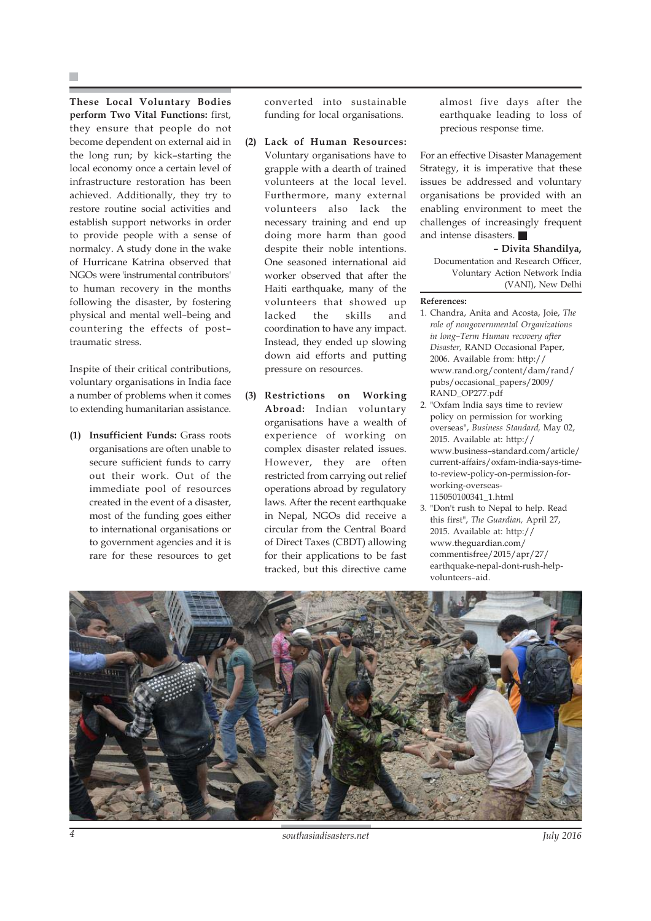**These Local Voluntary Bodies perform Two Vital Functions:** first, they ensure that people do not become dependent on external aid in the long run; by kick–starting the local economy once a certain level of infrastructure restoration has been achieved. Additionally, they try to restore routine social activities and establish support networks in order to provide people with a sense of normalcy. A study done in the wake of Hurricane Katrina observed that NGOs were 'instrumental contributors' to human recovery in the months following the disaster, by fostering physical and mental well–being and countering the effects of post– traumatic stress.

Inspite of their critical contributions, voluntary organisations in India face a number of problems when it comes to extending humanitarian assistance.

**(1) Insufficient Funds:** Grass roots organisations are often unable to secure sufficient funds to carry out their work. Out of the immediate pool of resources created in the event of a disaster, most of the funding goes either to international organisations or to government agencies and it is rare for these resources to get converted into sustainable funding for local organisations.

- **(2) Lack of Human Resources:** Voluntary organisations have to grapple with a dearth of trained volunteers at the local level. Furthermore, many external volunteers also lack the necessary training and end up doing more harm than good despite their noble intentions. One seasoned international aid worker observed that after the Haiti earthquake, many of the volunteers that showed up lacked the skills and coordination to have any impact. Instead, they ended up slowing down aid efforts and putting pressure on resources.
- **(3) Restrictions on Working Abroad:** Indian voluntary organisations have a wealth of experience of working on complex disaster related issues. However, they are often restricted from carrying out relief operations abroad by regulatory laws. After the recent earthquake in Nepal, NGOs did receive a circular from the Central Board of Direct Taxes (CBDT) allowing for their applications to be fast tracked, but this directive came

almost five days after the earthquake leading to loss of precious response time.

For an effective Disaster Management Strategy, it is imperative that these issues be addressed and voluntary organisations be provided with an enabling environment to meet the challenges of increasingly frequent and intense disasters.

**– Divita Shandilya,**

 Documentation and Research Officer, Voluntary Action Network India (VANI), New Delhi

#### **References:**

- 1. Chandra, Anita and Acosta, Joie, *The role of nongovernmental Organizations in long–Term Human recovery after Disaster,* RAND Occasional Paper, 2006. Available from: http:// www.rand.org/content/dam/rand/ pubs/occasional\_papers/2009/ RAND\_OP277.pdf
- 2. "Oxfam India says time to review policy on permission for working overseas", *Business Standard,* May 02, 2015. Available at: http:// www.business–standard.com/article/ current-affairs/oxfam-india-says-timeto-review-policy-on-permission-forworking-overseas-115050100341\_1.html
- 3. "Don't rush to Nepal to help. Read this first", *The Guardian,* April 27, 2015. Available at: http:// www.theguardian.com/ commentisfree/2015/apr/27/ earthquake-nepal-dont-rush-helpvolunteers–aid.



*4 southasiadisasters.net July 2016*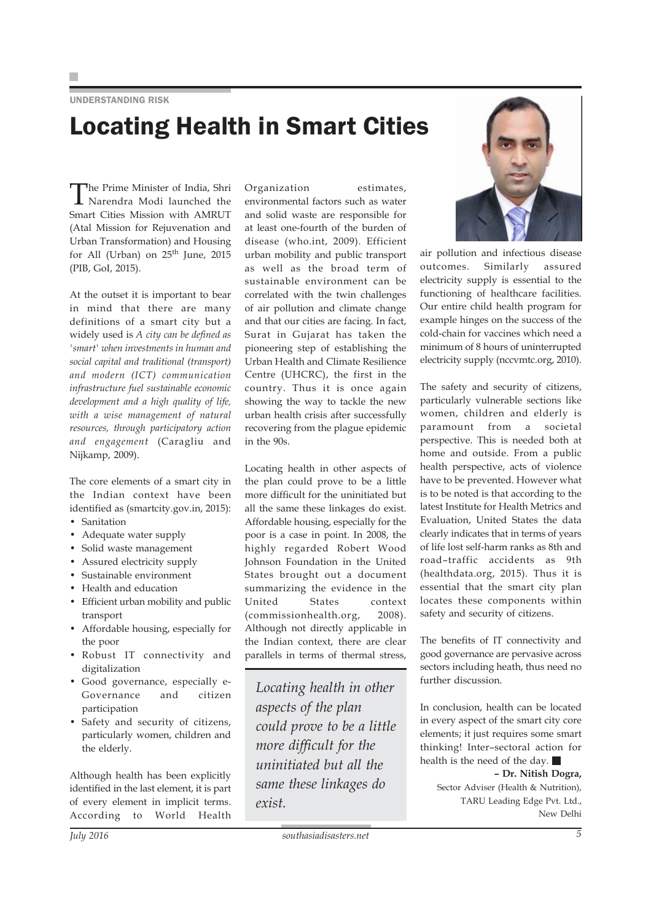UNDERSTANDING RISK

## Locating Health in Smart Cities

The Prime Minister of India, Shri Narendra Modi launched the Smart Cities Mission with AMRUT (Atal Mission for Rejuvenation and Urban Transformation) and Housing for All (Urban) on  $25<sup>th</sup>$  June, 2015 (PIB, GoI, 2015).

At the outset it is important to bear in mind that there are many definitions of a smart city but a widely used is *A city can be defined as 'smart' when investments in human and social capital and traditional (transport) and modern (ICT) communication infrastructure fuel sustainable economic development and a high quality of life, with a wise management of natural resources, through participatory action and engagement* (Caragliu and Nijkamp, 2009).

The core elements of a smart city in the Indian context have been identified as (smartcity.gov.in, 2015):

- Sanitation
- Adequate water supply
- Solid waste management
- Assured electricity supply
- Sustainable environment
- Health and education
- Efficient urban mobility and public transport
- Affordable housing, especially for the poor
- Robust IT connectivity and digitalization
- Good governance, especially e-Governance and citizen participation
- Safety and security of citizens, particularly women, children and the elderly.

Although health has been explicitly identified in the last element, it is part of every element in implicit terms. According to World Health and solid waste are responsible for at least one-fourth of the burden of disease (who.int, 2009). Efficient urban mobility and public transport as well as the broad term of sustainable environment can be correlated with the twin challenges of air pollution and climate change and that our cities are facing. In fact, Surat in Gujarat has taken the pioneering step of establishing the Urban Health and Climate Resilience Centre (UHCRC), the first in the country. Thus it is once again showing the way to tackle the new urban health crisis after successfully recovering from the plague epidemic in the 90s.

Organization estimates, environmental factors such as water

Locating health in other aspects of the plan could prove to be a little more difficult for the uninitiated but all the same these linkages do exist. Affordable housing, especially for the poor is a case in point. In 2008, the highly regarded Robert Wood Johnson Foundation in the United States brought out a document summarizing the evidence in the United States context (commissionhealth.org, 2008). Although not directly applicable in the Indian context, there are clear parallels in terms of thermal stress,

*Locating health in other aspects of the plan could prove to be a little more difficult for the uninitiated but all the same these linkages do exist.*



air pollution and infectious disease outcomes. Similarly assured electricity supply is essential to the functioning of healthcare facilities. Our entire child health program for example hinges on the success of the cold-chain for vaccines which need a minimum of 8 hours of uninterrupted electricity supply (nccvmtc.org, 2010).

The safety and security of citizens, particularly vulnerable sections like women, children and elderly is paramount from a societal perspective. This is needed both at home and outside. From a public health perspective, acts of violence have to be prevented. However what is to be noted is that according to the latest Institute for Health Metrics and Evaluation, United States the data clearly indicates that in terms of years of life lost self-harm ranks as 8th and road–traffic accidents as 9th (healthdata.org, 2015). Thus it is essential that the smart city plan locates these components within safety and security of citizens.

The benefits of IT connectivity and good governance are pervasive across sectors including heath, thus need no further discussion.

In conclusion, health can be located in every aspect of the smart city core elements; it just requires some smart thinking! Inter–sectoral action for health is the need of the day.

**– Dr. Nitish Dogra,** Sector Adviser (Health & Nutrition), TARU Leading Edge Pvt. Ltd., New Delhi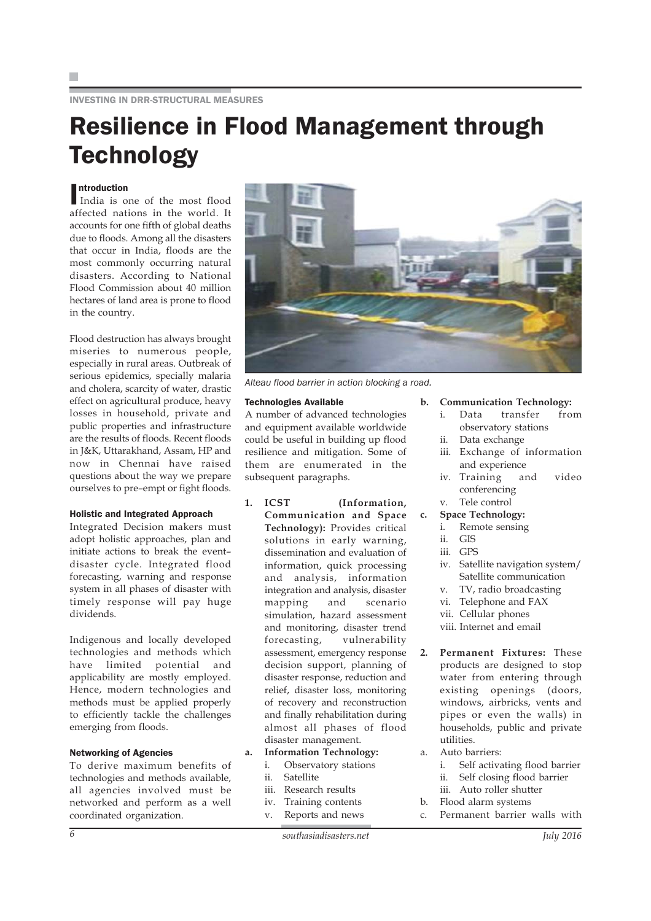### Resilience in Flood Management through **Technology**

### **Introduction**

**Introduction**<br>India is one of the most flood affected nations in the world. It accounts for one fifth of global deaths due to floods. Among all the disasters that occur in India, floods are the most commonly occurring natural disasters. According to National Flood Commission about 40 million hectares of land area is prone to flood in the country.

Flood destruction has always brought miseries to numerous people, especially in rural areas. Outbreak of serious epidemics, specially malaria and cholera, scarcity of water, drastic effect on agricultural produce, heavy losses in household, private and public properties and infrastructure are the results of floods. Recent floods in J&K, Uttarakhand, Assam, HP and now in Chennai have raised questions about the way we prepare ourselves to pre–empt or fight floods.

#### Holistic and Integrated Approach

Integrated Decision makers must adopt holistic approaches, plan and initiate actions to break the event– disaster cycle. Integrated flood forecasting, warning and response system in all phases of disaster with timely response will pay huge dividends.

Indigenous and locally developed technologies and methods which have limited potential and applicability are mostly employed. Hence, modern technologies and methods must be applied properly to efficiently tackle the challenges emerging from floods.

### Networking of Agencies

To derive maximum benefits of technologies and methods available, all agencies involved must be networked and perform as a well coordinated organization.



*Alteau flood barrier in action blocking a road.*

#### Technologies Available

A number of advanced technologies and equipment available worldwide could be useful in building up flood resilience and mitigation. Some of them are enumerated in the subsequent paragraphs.

- **1. ICST (Information, Communication and Space Technology):** Provides critical solutions in early warning, dissemination and evaluation of information, quick processing and analysis, information integration and analysis, disaster mapping and scenario simulation, hazard assessment and monitoring, disaster trend forecasting, vulnerability assessment, emergency response decision support, planning of disaster response, reduction and relief, disaster loss, monitoring of recovery and reconstruction and finally rehabilitation during almost all phases of flood disaster management.
- **a. Information Technology:**
	- i. Observatory stations
	- ii. Satellite
	- iii. Research results
	- iv. Training contents
	- v. Reports and news

### **b. Communication Technology:**

- i. Data transfer from observatory stations
- ii. Data exchange
- iii. Exchange of information and experience
- iv. Training and video conferencing
- v. Tele control
- **c. Space Technology:**
	- i. Remote sensing
	- ii. GIS
	- iii. GPS
	- iv. Satellite navigation system/ Satellite communication
	- v. TV, radio broadcasting
	- vi. Telephone and FAX
	- vii. Cellular phones
	- viii. Internet and email
- **2. Permanent Fixtures:** These products are designed to stop water from entering through existing openings (doors, windows, airbricks, vents and pipes or even the walls) in households, public and private utilities.
- a. Auto barriers:
	- i. Self activating flood barrier
	- ii. Self closing flood barrier
	- iii. Auto roller shutter
- b. Flood alarm systems
- c. Permanent barrier walls with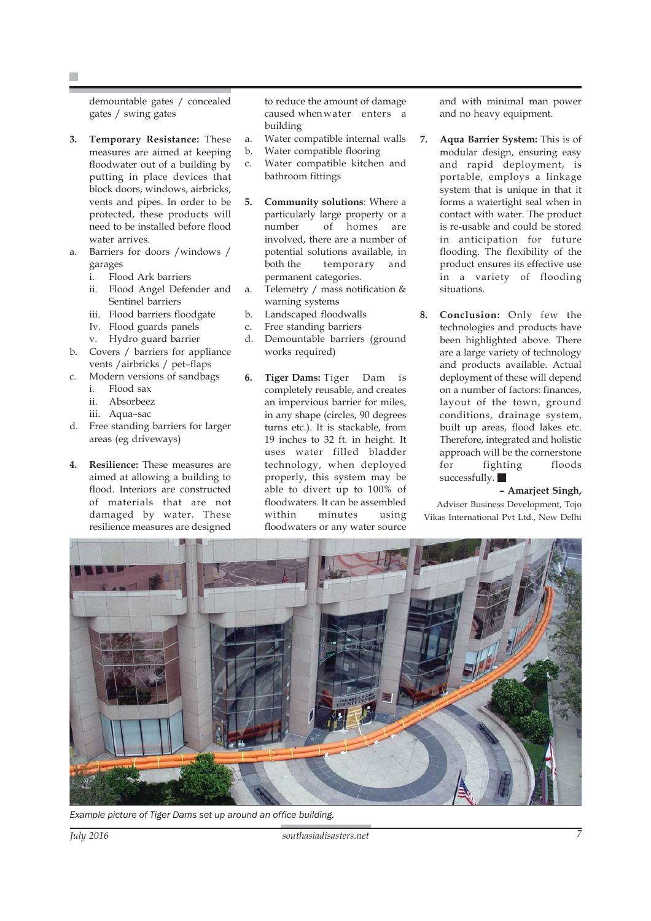demountable gates / concealed gates / swing gates

- **3. Temporary Resistance:** These measures are aimed at keeping floodwater out of a building by putting in place devices that block doors, windows, airbricks, vents and pipes. In order to be protected, these products will need to be installed before flood water arrives.
- a. Barriers for doors /windows / garages
	- i. Flood Ark barriers
	- ii. Flood Angel Defender and Sentinel barriers
	- iii. Flood barriers floodgate
	- Iv. Flood guards panels
	- v. Hydro guard barrier
- b. Covers / barriers for appliance vents /airbricks / pet–flaps
- c. Modern versions of sandbags
	- i. Flood sax
	- ii. Absorbeez
	- iii. Aqua–sac
- d. Free standing barriers for larger areas (eg driveways)
- **4. Resilience:** These measures are aimed at allowing a building to flood. Interiors are constructed of materials that are not damaged by water. These resilience measures are designed

to reduce the amount of damage caused whenwater enters a building

- a. Water compatible internal walls
- b. Water compatible flooring
- c. Water compatible kitchen and bathroom fittings
- **5. Community solutions**: Where a particularly large property or a number of homes are involved, there are a number of potential solutions available, in both the temporary and permanent categories.
- a. Telemetry / mass notification & warning systems
- b. Landscaped floodwalls
- c. Free standing barriers
- d. Demountable barriers (ground works required)
- **6. Tiger Dams:** Tiger Dam is completely reusable, and creates an impervious barrier for miles, in any shape (circles, 90 degrees turns etc.). It is stackable, from 19 inches to 32 ft. in height. It uses water filled bladder technology, when deployed properly, this system may be able to divert up to 100% of floodwaters. It can be assembled within minutes using floodwaters or any water source

and with minimal man power and no heavy equipment.

- **7. Aqua Barrier System:** This is of modular design, ensuring easy and rapid deployment, is portable, employs a linkage system that is unique in that it forms a watertight seal when in contact with water. The product is re-usable and could be stored in anticipation for future flooding. The flexibility of the product ensures its effective use in a variety of flooding situations.
- **8. Conclusion:** Only few the technologies and products have been highlighted above. There are a large variety of technology and products available. Actual deployment of these will depend on a number of factors: finances, layout of the town, ground conditions, drainage system, built up areas, flood lakes etc. Therefore, integrated and holistic approach will be the cornerstone for fighting floods successfully.

### **– Amarjeet Singh,**

Adviser Business Development, Tojo Vikas International Pvt Ltd., New Delhi



*Example picture of Tiger Dams set up around an office building.*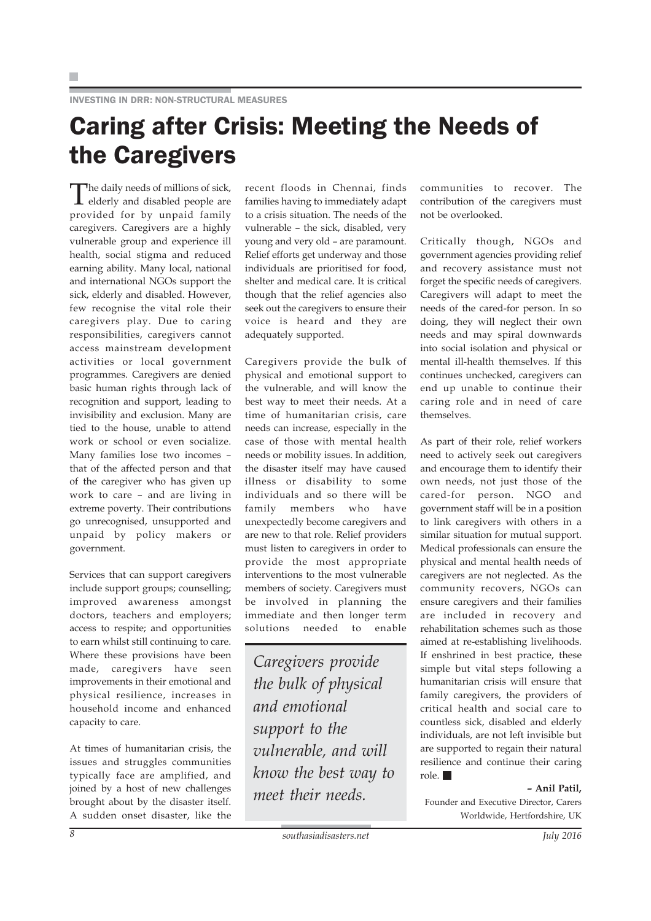### Caring after Crisis: Meeting the Needs of the Caregivers

The daily needs of millions of sick, elderly and disabled people are provided for by unpaid family caregivers. Caregivers are a highly vulnerable group and experience ill health, social stigma and reduced earning ability. Many local, national and international NGOs support the sick, elderly and disabled. However, few recognise the vital role their caregivers play. Due to caring responsibilities, caregivers cannot access mainstream development activities or local government programmes. Caregivers are denied basic human rights through lack of recognition and support, leading to invisibility and exclusion. Many are tied to the house, unable to attend work or school or even socialize. Many families lose two incomes – that of the affected person and that of the caregiver who has given up work to care – and are living in extreme poverty. Their contributions go unrecognised, unsupported and unpaid by policy makers or government.

Services that can support caregivers include support groups; counselling; improved awareness amongst doctors, teachers and employers; access to respite; and opportunities to earn whilst still continuing to care. Where these provisions have been made, caregivers have seen improvements in their emotional and physical resilience, increases in household income and enhanced capacity to care.

At times of humanitarian crisis, the issues and struggles communities typically face are amplified, and joined by a host of new challenges brought about by the disaster itself. A sudden onset disaster, like the recent floods in Chennai, finds families having to immediately adapt to a crisis situation. The needs of the vulnerable – the sick, disabled, very young and very old – are paramount. Relief efforts get underway and those individuals are prioritised for food, shelter and medical care. It is critical though that the relief agencies also seek out the caregivers to ensure their voice is heard and they are adequately supported.

Caregivers provide the bulk of physical and emotional support to the vulnerable, and will know the best way to meet their needs. At a time of humanitarian crisis, care needs can increase, especially in the case of those with mental health needs or mobility issues. In addition, the disaster itself may have caused illness or disability to some individuals and so there will be family members who have unexpectedly become caregivers and are new to that role. Relief providers must listen to caregivers in order to provide the most appropriate interventions to the most vulnerable members of society. Caregivers must be involved in planning the immediate and then longer term solutions needed to enable

*Caregivers provide the bulk of physical and emotional support to the vulnerable, and will know the best way to meet their needs.*

communities to recover. The contribution of the caregivers must not be overlooked.

Critically though, NGOs and government agencies providing relief and recovery assistance must not forget the specific needs of caregivers. Caregivers will adapt to meet the needs of the cared-for person. In so doing, they will neglect their own needs and may spiral downwards into social isolation and physical or mental ill-health themselves. If this continues unchecked, caregivers can end up unable to continue their caring role and in need of care themselves.

As part of their role, relief workers need to actively seek out caregivers and encourage them to identify their own needs, not just those of the cared-for person. NGO and government staff will be in a position to link caregivers with others in a similar situation for mutual support. Medical professionals can ensure the physical and mental health needs of caregivers are not neglected. As the community recovers, NGOs can ensure caregivers and their families are included in recovery and rehabilitation schemes such as those aimed at re-establishing livelihoods. If enshrined in best practice, these simple but vital steps following a humanitarian crisis will ensure that family caregivers, the providers of critical health and social care to countless sick, disabled and elderly individuals, are not left invisible but are supported to regain their natural resilience and continue their caring role.

#### **– Anil Patil,**

Founder and Executive Director, Carers Worldwide, Hertfordshire, UK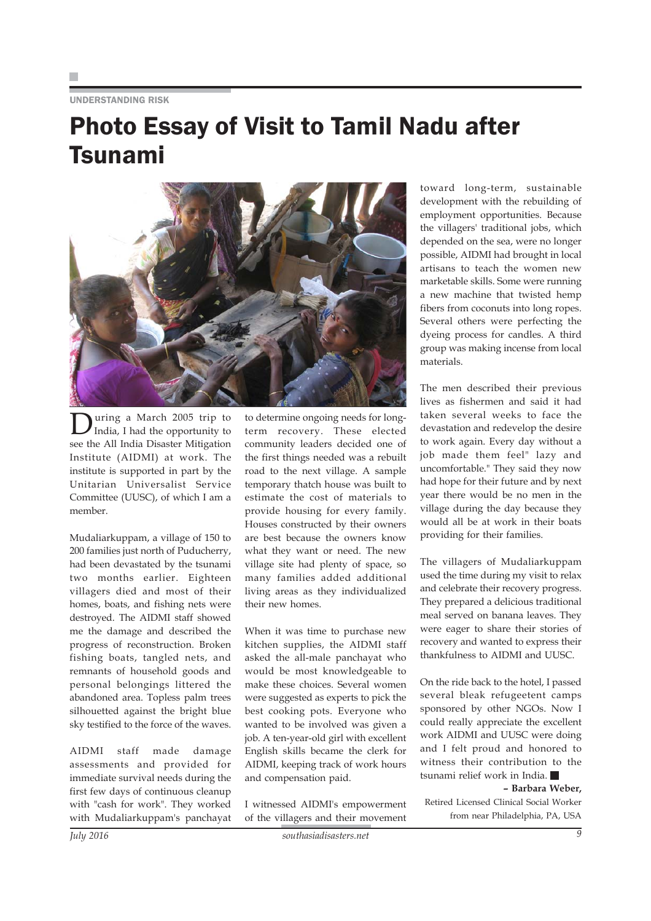### UNDERSTANDING RISK

### Photo Essay of Visit to Tamil Nadu after Tsunami



During a March 2005 trip to India, I had the opportunity to see the All India Disaster Mitigation Institute (AIDMI) at work. The institute is supported in part by the Unitarian Universalist Service Committee (UUSC), of which I am a member.

Mudaliarkuppam, a village of 150 to 200 families just north of Puducherry, had been devastated by the tsunami two months earlier. Eighteen villagers died and most of their homes, boats, and fishing nets were destroyed. The AIDMI staff showed me the damage and described the progress of reconstruction. Broken fishing boats, tangled nets, and remnants of household goods and personal belongings littered the abandoned area. Topless palm trees silhouetted against the bright blue sky testified to the force of the waves.

AIDMI staff made damage assessments and provided for immediate survival needs during the first few days of continuous cleanup with "cash for work". They worked with Mudaliarkuppam's panchayat to determine ongoing needs for longterm recovery. These elected community leaders decided one of the first things needed was a rebuilt road to the next village. A sample temporary thatch house was built to estimate the cost of materials to provide housing for every family. Houses constructed by their owners are best because the owners know what they want or need. The new village site had plenty of space, so many families added additional living areas as they individualized their new homes.

When it was time to purchase new kitchen supplies, the AIDMI staff asked the all-male panchayat who would be most knowledgeable to make these choices. Several women were suggested as experts to pick the best cooking pots. Everyone who wanted to be involved was given a job. A ten-year-old girl with excellent English skills became the clerk for AIDMI, keeping track of work hours and compensation paid.

I witnessed AIDMI's empowerment of the villagers and their movement

toward long-term, sustainable development with the rebuilding of employment opportunities. Because the villagers' traditional jobs, which depended on the sea, were no longer possible, AIDMI had brought in local artisans to teach the women new marketable skills. Some were running a new machine that twisted hemp fibers from coconuts into long ropes. Several others were perfecting the dyeing process for candles. A third group was making incense from local materials.

The men described their previous lives as fishermen and said it had taken several weeks to face the devastation and redevelop the desire to work again. Every day without a job made them feel" lazy and uncomfortable." They said they now had hope for their future and by next year there would be no men in the village during the day because they would all be at work in their boats providing for their families.

The villagers of Mudaliarkuppam used the time during my visit to relax and celebrate their recovery progress. They prepared a delicious traditional meal served on banana leaves. They were eager to share their stories of recovery and wanted to express their thankfulness to AIDMI and UUSC.

On the ride back to the hotel, I passed several bleak refugeetent camps sponsored by other NGOs. Now I could really appreciate the excellent work AIDMI and UUSC were doing and I felt proud and honored to witness their contribution to the tsunami relief work in India.

**– Barbara Weber,**

Retired Licensed Clinical Social Worker from near Philadelphia, PA, USA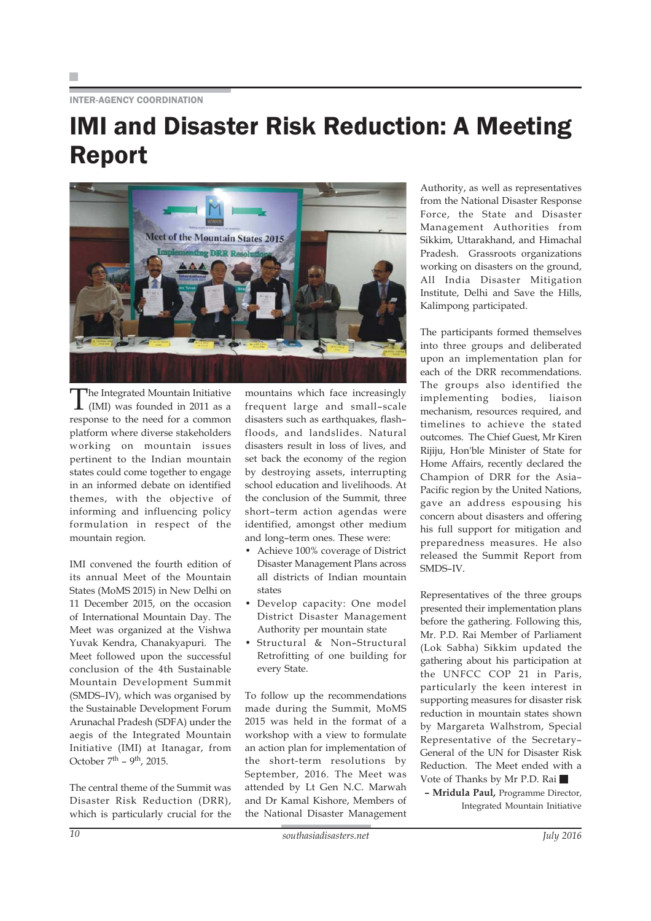### INTER-AGENCY COORDINATION

### IMI and Disaster Risk Reduction: A Meeting Report



The Integrated Mountain Initiative<br>(IMI) was founded in 2011 as a response to the need for a common platform where diverse stakeholders working on mountain issues pertinent to the Indian mountain states could come together to engage in an informed debate on identified themes, with the objective of informing and influencing policy formulation in respect of the mountain region.

IMI convened the fourth edition of its annual Meet of the Mountain States (MoMS 2015) in New Delhi on 11 December 2015, on the occasion of International Mountain Day. The Meet was organized at the Vishwa Yuvak Kendra, Chanakyapuri. The Meet followed upon the successful conclusion of the 4th Sustainable Mountain Development Summit (SMDS–IV), which was organised by the Sustainable Development Forum Arunachal Pradesh (SDFA) under the aegis of the Integrated Mountain Initiative (IMI) at Itanagar, from October  $7<sup>th</sup>$  – 9<sup>th</sup>, 2015.

The central theme of the Summit was Disaster Risk Reduction (DRR), which is particularly crucial for the mountains which face increasingly frequent large and small–scale disasters such as earthquakes, flash– floods, and landslides. Natural disasters result in loss of lives, and set back the economy of the region by destroying assets, interrupting school education and livelihoods. At the conclusion of the Summit, three short–term action agendas were identified, amongst other medium and long–term ones. These were:

- Achieve 100% coverage of District Disaster Management Plans across all districts of Indian mountain states
- Develop capacity: One model District Disaster Management Authority per mountain state
- Structural & Non–Structural Retrofitting of one building for every State.

To follow up the recommendations made during the Summit, MoMS 2015 was held in the format of a workshop with a view to formulate an action plan for implementation of the short-term resolutions by September, 2016. The Meet was attended by Lt Gen N.C. Marwah and Dr Kamal Kishore, Members of the National Disaster Management

Authority, as well as representatives from the National Disaster Response Force, the State and Disaster Management Authorities from Sikkim, Uttarakhand, and Himachal Pradesh. Grassroots organizations working on disasters on the ground, All India Disaster Mitigation Institute, Delhi and Save the Hills, Kalimpong participated.

The participants formed themselves into three groups and deliberated upon an implementation plan for each of the DRR recommendations. The groups also identified the implementing bodies, liaison mechanism, resources required, and timelines to achieve the stated outcomes. The Chief Guest, Mr Kiren Rijiju, Hon'ble Minister of State for Home Affairs, recently declared the Champion of DRR for the Asia– Pacific region by the United Nations, gave an address espousing his concern about disasters and offering his full support for mitigation and preparedness measures. He also released the Summit Report from SMDS–IV.

Representatives of the three groups presented their implementation plans before the gathering. Following this, Mr. P.D. Rai Member of Parliament (Lok Sabha) Sikkim updated the gathering about his participation at the UNFCC COP 21 in Paris, particularly the keen interest in supporting measures for disaster risk reduction in mountain states shown by Margareta Walhstrom, Special Representative of the Secretary– General of the UN for Disaster Risk Reduction. The Meet ended with a Vote of Thanks by Mr P.D. Rai

**– Mridula Paul,** Programme Director, Integrated Mountain Initiative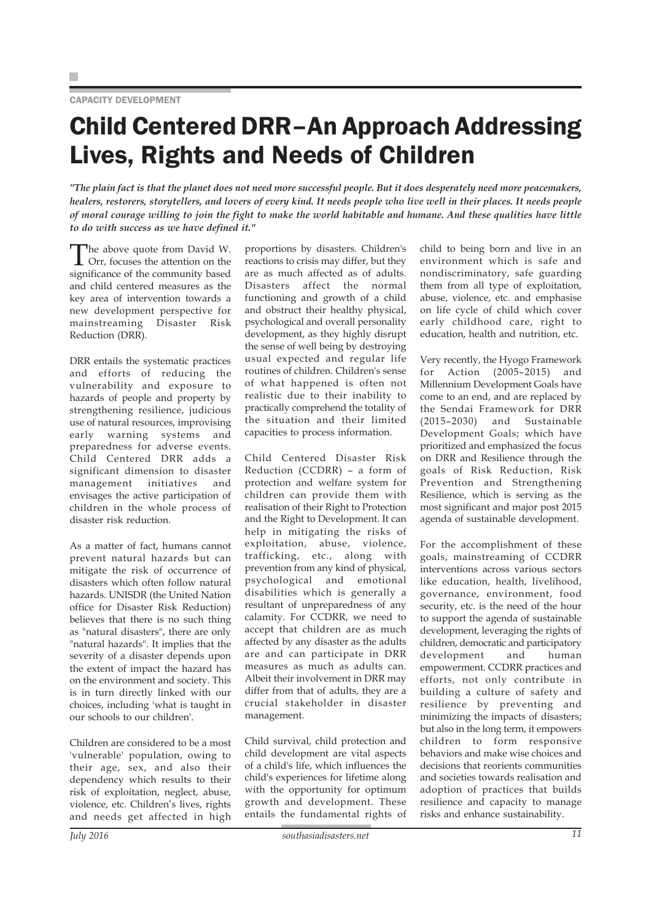CAPACITY DEVELOPMENT

### Child Centered DRR–An Approach Addressing Lives, Rights and Needs of Children

*"The plain fact is that the planet does not need more successful people. But it does desperately need more peacemakers, healers, restorers, storytellers, and lovers of every kind. It needs people who live well in their places. It needs people of moral courage willing to join the fight to make the world habitable and humane. And these qualities have little to do with success as we have defined it."*

The above quote from David W.<br>Orr, focuses the attention on the significance of the community based and child centered measures as the key area of intervention towards a new development perspective for mainstreaming Disaster Risk Reduction (DRR).

DRR entails the systematic practices and efforts of reducing the vulnerability and exposure to hazards of people and property by strengthening resilience, judicious use of natural resources, improvising early warning systems and preparedness for adverse events. Child Centered DRR adds a significant dimension to disaster management initiatives and envisages the active participation of children in the whole process of disaster risk reduction.

As a matter of fact, humans cannot prevent natural hazards but can mitigate the risk of occurrence of disasters which often follow natural hazards. UNISDR (the United Nation office for Disaster Risk Reduction) believes that there is no such thing as "natural disasters", there are only "natural hazards". It implies that the severity of a disaster depends upon the extent of impact the hazard has on the environment and society. This is in turn directly linked with our choices, including 'what is taught in our schools to our children'.

Children are considered to be a most 'vulnerable' population, owing to their age, sex, and also their dependency which results to their risk of exploitation, neglect, abuse, violence, etc. Children's lives, rights and needs get affected in high proportions by disasters. Children's reactions to crisis may differ, but they are as much affected as of adults. Disasters affect the normal functioning and growth of a child and obstruct their healthy physical, psychological and overall personality development, as they highly disrupt the sense of well being by destroying usual expected and regular life routines of children. Children's sense of what happened is often not realistic due to their inability to practically comprehend the totality of the situation and their limited capacities to process information.

Child Centered Disaster Risk Reduction (CCDRR) – a form of protection and welfare system for children can provide them with realisation of their Right to Protection and the Right to Development. It can help in mitigating the risks of exploitation, abuse, violence, trafficking, etc., along with prevention from any kind of physical, psychological and emotional disabilities which is generally a resultant of unpreparedness of any calamity. For CCDRR, we need to accept that children are as much affected by any disaster as the adults are and can participate in DRR measures as much as adults can. Albeit their involvement in DRR may differ from that of adults, they are a crucial stakeholder in disaster management.

Child survival, child protection and child development are vital aspects of a child's life, which influences the child's experiences for lifetime along with the opportunity for optimum growth and development. These entails the fundamental rights of

child to being born and live in an environment which is safe and nondiscriminatory, safe guarding them from all type of exploitation, abuse, violence, etc. and emphasise on life cycle of child which cover early childhood care, right to education, health and nutrition, etc.

Very recently, the Hyogo Framework for Action (2005–2015) and Millennium Development Goals have come to an end, and are replaced by the Sendai Framework for DRR (2015–2030) and Sustainable Development Goals; which have prioritized and emphasized the focus on DRR and Resilience through the goals of Risk Reduction, Risk Prevention and Strengthening Resilience, which is serving as the most significant and major post 2015 agenda of sustainable development.

For the accomplishment of these goals, mainstreaming of CCDRR interventions across various sectors like education, health, livelihood, governance, environment, food security, etc. is the need of the hour to support the agenda of sustainable development, leveraging the rights of children, democratic and participatory development and human empowerment. CCDRR practices and efforts, not only contribute in building a culture of safety and resilience by preventing and minimizing the impacts of disasters; but also in the long term, it empowers children to form responsive behaviors and make wise choices and decisions that reorients communities and societies towards realisation and adoption of practices that builds resilience and capacity to manage risks and enhance sustainability.